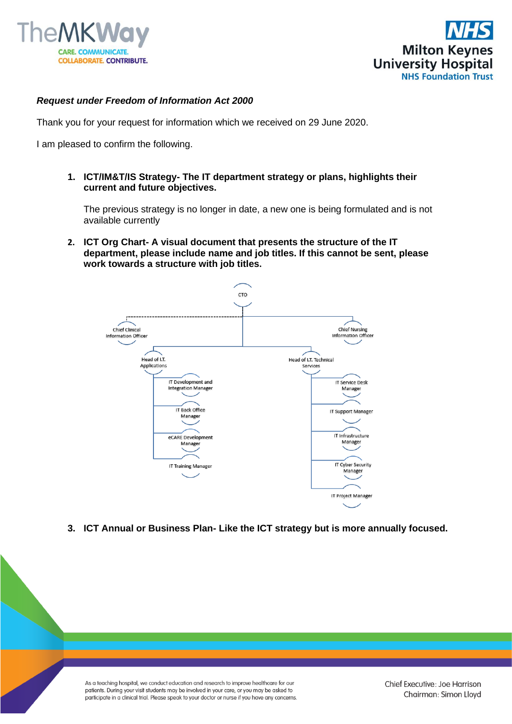



## *Request under Freedom of Information Act 2000*

Thank you for your request for information which we received on 29 June 2020.

I am pleased to confirm the following.

**1. ICT/IM&T/IS Strategy- The IT department strategy or plans, highlights their current and future objectives.**

The previous strategy is no longer in date, a new one is being formulated and is not available currently

**2. ICT Org Chart- A visual document that presents the structure of the IT department, please include name and job titles. If this cannot be sent, please work towards a structure with job titles.**



**3. ICT Annual or Business Plan- Like the ICT strategy but is more annually focused.**

As a teaching hospital, we conduct education and research to improve healthcare for our patients. During your visit students may be involved in your care, or you may be asked to participate in a clinical trial. Please speak to your doctor or nurse if you have any concerns.